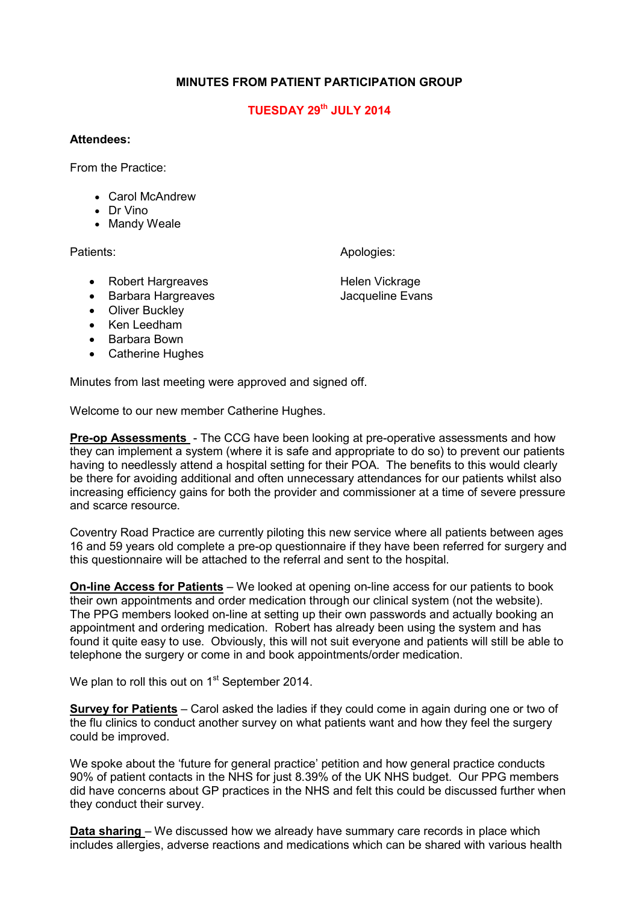## **MINUTES FROM PATIENT PARTICIPATION GROUP**

## **TUESDAY 29th JULY 2014**

## **Attendees:**

From the Practice:

- Carol McAndrew
- Dr Vino
- Mandy Weale

Patients: Apologies: Apologies: Apologies: Apologies: Apologies: Apologies: Apologies: Apologies: Apologies: Apologies: Apologies: Apologies: Apologies: Apologies: Apologies: Apologies: Apologies: Apologies: Apologies: Apo

- Robert Hargreaves **Helen Vickrage**
- Barbara Hargreaves **Jacqueline Evans**
- Oliver Buckley
- Ken Leedham
- Barbara Bown
- Catherine Hughes

Minutes from last meeting were approved and signed off.

Welcome to our new member Catherine Hughes.

**Pre-op Assessments** - The CCG have been looking at pre-operative assessments and how they can implement a system (where it is safe and appropriate to do so) to prevent our patients having to needlessly attend a hospital setting for their POA. The benefits to this would clearly be there for avoiding additional and often unnecessary attendances for our patients whilst also increasing efficiency gains for both the provider and commissioner at a time of severe pressure and scarce resource.

Coventry Road Practice are currently piloting this new service where all patients between ages 16 and 59 years old complete a pre-op questionnaire if they have been referred for surgery and this questionnaire will be attached to the referral and sent to the hospital.

**On-line Access for Patients** – We looked at opening on-line access for our patients to book their own appointments and order medication through our clinical system (not the website). The PPG members looked on-line at setting up their own passwords and actually booking an appointment and ordering medication. Robert has already been using the system and has found it quite easy to use. Obviously, this will not suit everyone and patients will still be able to telephone the surgery or come in and book appointments/order medication.

We plan to roll this out on 1<sup>st</sup> September 2014.

**Survey for Patients** – Carol asked the ladies if they could come in again during one or two of the flu clinics to conduct another survey on what patients want and how they feel the surgery could be improved.

We spoke about the 'future for general practice' petition and how general practice conducts 90% of patient contacts in the NHS for just 8.39% of the UK NHS budget. Our PPG members did have concerns about GP practices in the NHS and felt this could be discussed further when they conduct their survey.

**Data sharing** – We discussed how we already have summary care records in place which includes allergies, adverse reactions and medications which can be shared with various health